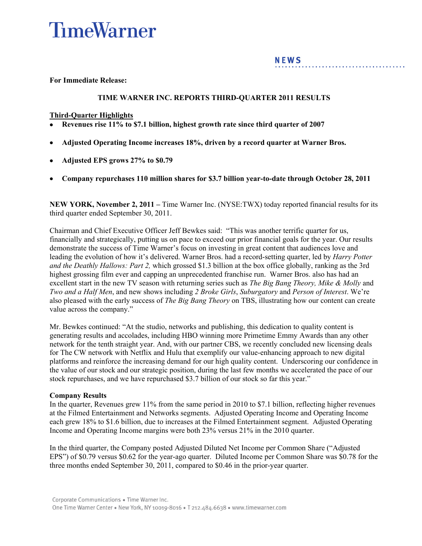# **TimeWarner**

# **NEWS**

**For Immediate Release:** 

# **TIME WARNER INC. REPORTS THIRD-QUARTER 2011 RESULTS**

**Third-Quarter Highlights**

- **Revenues rise 11% to \$7.1 billion, highest growth rate since third quarter of 2007**
- **Adjusted Operating Income increases 18%, driven by a record quarter at Warner Bros.**
- **Adjusted EPS grows 27% to \$0.79**
- **Company repurchases 110 million shares for \$3.7 billion year-to-date through October 28, 2011**

**NEW YORK, November 2, 2011 –** Time Warner Inc. (NYSE:TWX) today reported financial results for its third quarter ended September 30, 2011.

Chairman and Chief Executive Officer Jeff Bewkes said: "This was another terrific quarter for us, financially and strategically, putting us on pace to exceed our prior financial goals for the year. Our results demonstrate the success of Time Warner's focus on investing in great content that audiences love and leading the evolution of how it's delivered. Warner Bros. had a record-setting quarter, led by *Harry Potter and the Deathly Hallows: Part 2,* which grossed \$1.3 billion at the box office globally, ranking as the 3rd highest grossing film ever and capping an unprecedented franchise run. Warner Bros. also has had an excellent start in the new TV season with returning series such as *The Big Bang Theory, Mike & Molly* and *Two and a Half Men*, and new shows including *2 Broke Girls*, *Suburgatory* and *Person of Interest*. We're also pleased with the early success of *The Big Bang Theory* on TBS, illustrating how our content can create value across the company."

Mr. Bewkes continued: "At the studio, networks and publishing, this dedication to quality content is generating results and accolades, including HBO winning more Primetime Emmy Awards than any other network for the tenth straight year. And, with our partner CBS, we recently concluded new licensing deals for The CW network with Netflix and Hulu that exemplify our value-enhancing approach to new digital platforms and reinforce the increasing demand for our high quality content. Underscoring our confidence in the value of our stock and our strategic position, during the last few months we accelerated the pace of our stock repurchases, and we have repurchased \$3.7 billion of our stock so far this year."

# **Company Results**

In the quarter, Revenues grew 11% from the same period in 2010 to \$7.1 billion, reflecting higher revenues at the Filmed Entertainment and Networks segments. Adjusted Operating Income and Operating Income each grew 18% to \$1.6 billion, due to increases at the Filmed Entertainment segment. Adjusted Operating Income and Operating Income margins were both 23% versus 21% in the 2010 quarter.

In the third quarter, the Company posted Adjusted Diluted Net Income per Common Share ("Adjusted EPS") of \$0.79 versus \$0.62 for the year-ago quarter. Diluted Income per Common Share was \$0.78 for the three months ended September 30, 2011, compared to \$0.46 in the prior-year quarter.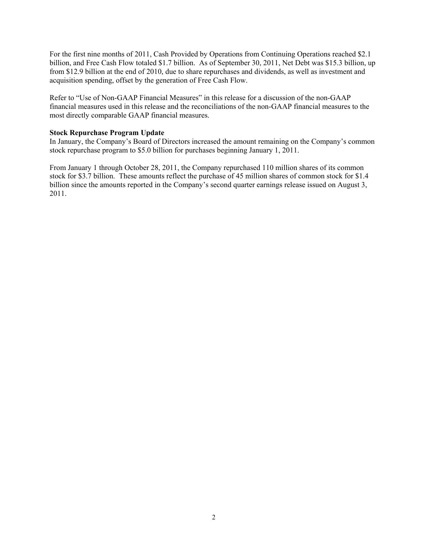For the first nine months of 2011, Cash Provided by Operations from Continuing Operations reached \$2.1 billion, and Free Cash Flow totaled \$1.7 billion. As of September 30, 2011, Net Debt was \$15.3 billion, up from \$12.9 billion at the end of 2010, due to share repurchases and dividends, as well as investment and acquisition spending, offset by the generation of Free Cash Flow.

Refer to "Use of Non-GAAP Financial Measures" in this release for a discussion of the non-GAAP financial measures used in this release and the reconciliations of the non-GAAP financial measures to the most directly comparable GAAP financial measures.

# **Stock Repurchase Program Update**

In January, the Company's Board of Directors increased the amount remaining on the Company's common stock repurchase program to \$5.0 billion for purchases beginning January 1, 2011.

From January 1 through October 28, 2011, the Company repurchased 110 million shares of its common stock for \$3.7 billion. These amounts reflect the purchase of 45 million shares of common stock for \$1.4 billion since the amounts reported in the Company's second quarter earnings release issued on August 3, 2011.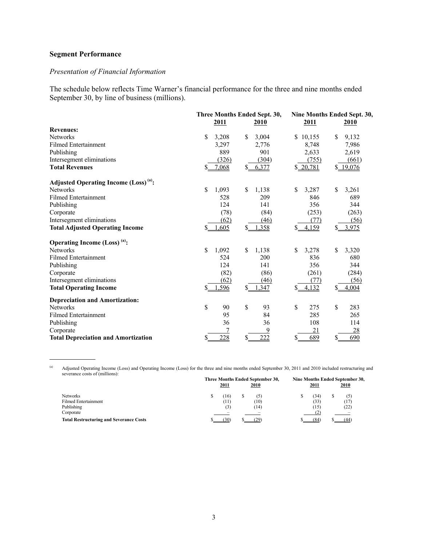# **Segment Performance**

 $\frac{1}{2}$ 

# *Presentation of Financial Information*

The schedule below reflects Time Warner's financial performance for the three and nine months ended September 30, by line of business (millions).

|                                                   | 2011        | Three Months Ended Sept. 30,<br><b>2010</b> | 2011         | Nine Months Ended Sept. 30,<br>2010 |  |  |
|---------------------------------------------------|-------------|---------------------------------------------|--------------|-------------------------------------|--|--|
| <b>Revenues:</b>                                  |             |                                             |              |                                     |  |  |
| <b>Networks</b>                                   | \$<br>3,208 | \$<br>3,004                                 | S.<br>10,155 | \$<br>9,132                         |  |  |
| <b>Filmed Entertainment</b>                       | 3,297       | 2,776                                       | 8,748        | 7,986                               |  |  |
| Publishing                                        | 889         | 901                                         | 2,633        | 2,619                               |  |  |
| Intersegment eliminations                         | (326)       | (304)                                       | (755)        | (661)                               |  |  |
| <b>Total Revenues</b>                             | 7,068<br>\$ | 6,377<br>\$                                 | \$20,781     | \$19,076                            |  |  |
| Adjusted Operating Income (Loss) <sup>(a)</sup> : |             |                                             |              |                                     |  |  |
| <b>Networks</b>                                   | \$<br>1,093 | \$<br>1,138                                 | \$<br>3,287  | \$<br>3,261                         |  |  |
| <b>Filmed Entertainment</b>                       | 528         | 209                                         | 846          | 689                                 |  |  |
| Publishing                                        | 124         | 141                                         | 356          | 344                                 |  |  |
| Corporate                                         | (78)        | (84)                                        | (253)        | (263)                               |  |  |
| Intersegment eliminations                         | (62)        | (46)                                        | (77)         | (56)                                |  |  |
| <b>Total Adjusted Operating Income</b>            | ,605<br>S   | 1,358<br>\$                                 | 4,159<br>S   | 3,975<br>S.                         |  |  |
| Operating Income (Loss) <sup>(a)</sup> :          |             |                                             |              |                                     |  |  |
| <b>Networks</b>                                   | \$<br>1,092 | \$<br>1,138                                 | \$<br>3,278  | \$<br>3,320                         |  |  |
| <b>Filmed Entertainment</b>                       | 524         | 200                                         | 836          | 680                                 |  |  |
| Publishing                                        | 124         | 141                                         | 356          | 344                                 |  |  |
| Corporate                                         | (82)        | (86)                                        | (261)        | (284)                               |  |  |
| Intersegment eliminations                         | (62)        | (46)                                        | (77)         | (56)                                |  |  |
| <b>Total Operating Income</b>                     | 596<br>\$   | \$<br>347                                   | 4,132<br>S   | 4,004<br>\$                         |  |  |
| <b>Depreciation and Amortization:</b>             |             |                                             |              |                                     |  |  |
| <b>Networks</b>                                   | \$<br>90    | \$<br>93                                    | \$<br>275    | \$<br>283                           |  |  |
| <b>Filmed Entertainment</b>                       | 95          | 84                                          | 285          | 265                                 |  |  |
| Publishing                                        | 36          | 36                                          | 108          | 114                                 |  |  |
| Corporate                                         |             | 9                                           | <u>21</u>    | 28                                  |  |  |
| <b>Total Depreciation and Amortization</b>        | 228<br>\$   | 222<br>\$                                   | \$<br>689    | 690<br>\$                           |  |  |

(a) Adjusted Operating Income (Loss) and Operating Income (Loss) for the three and nine months ended September 30, 2011 and 2010 included restructuring and severance costs of (millions):

|                                                | 2011 | Three Months Ended September 30,<br>2010 | Nine Months Ended September 30,<br>2011<br>2010 |  |         |  |  |
|------------------------------------------------|------|------------------------------------------|-------------------------------------------------|--|---------|--|--|
| <b>Networks</b>                                | 16   | $\circ$                                  | 34                                              |  | $\circ$ |  |  |
| <b>Filmed Entertainment</b>                    | (11) | (10)                                     | (33)                                            |  | (17)    |  |  |
| Publishing                                     | (3)  | (14)                                     | (15)                                            |  | (22)    |  |  |
| Corporate                                      |      |                                          |                                                 |  |         |  |  |
| <b>Total Restructuring and Severance Costs</b> | (30  | 29                                       | (84)                                            |  | (44     |  |  |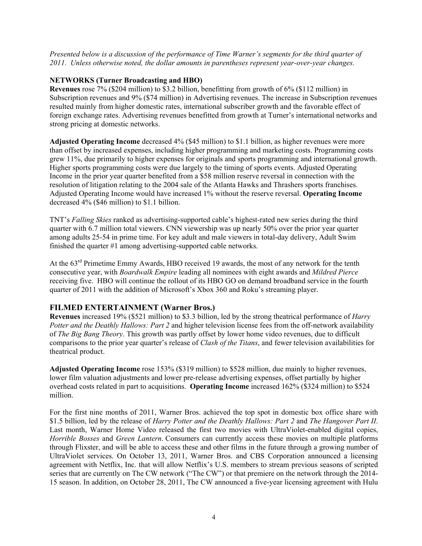*Presented below is a discussion of the performance of Time Warner's segments for the third quarter of 2011. Unless otherwise noted, the dollar amounts in parentheses represent year-over-year changes.* 

# **NETWORKS (Turner Broadcasting and HBO)**

**Revenues** rose 7% (\$204 million) to \$3.2 billion, benefitting from growth of 6% (\$112 million) in Subscription revenues and 9% (\$74 million) in Advertising revenues. The increase in Subscription revenues resulted mainly from higher domestic rates, international subscriber growth and the favorable effect of foreign exchange rates. Advertising revenues benefitted from growth at Turner's international networks and strong pricing at domestic networks.

**Adjusted Operating Income** decreased 4% (\$45 million) to \$1.1 billion, as higher revenues were more than offset by increased expenses, including higher programming and marketing costs. Programming costs grew 11%, due primarily to higher expenses for originals and sports programming and international growth. Higher sports programming costs were due largely to the timing of sports events. Adjusted Operating Income in the prior year quarter benefited from a \$58 million reserve reversal in connection with the resolution of litigation relating to the 2004 sale of the Atlanta Hawks and Thrashers sports franchises. Adjusted Operating Income would have increased 1% without the reserve reversal. **Operating Income** decreased 4% (\$46 million) to \$1.1 billion.

TNT's *Falling Skies* ranked as advertising-supported cable's highest-rated new series during the third quarter with 6.7 million total viewers. CNN viewership was up nearly 50% over the prior year quarter among adults 25-54 in prime time. For key adult and male viewers in total-day delivery, Adult Swim finished the quarter #1 among advertising-supported cable networks.

At the 63<sup>rd</sup> Primetime Emmy Awards, HBO received 19 awards, the most of any network for the tenth consecutive year, with *Boardwalk Empire* leading all nominees with eight awards and *Mildred Pierce* receiving five. HBO will continue the rollout of its HBO GO on demand broadband service in the fourth quarter of 2011 with the addition of Microsoft's Xbox 360 and Roku's streaming player.

# **FILMED ENTERTAINMENT (Warner Bros.)**

**Revenues** increased 19% (\$521 million) to \$3.3 billion, led by the strong theatrical performance of *Harry Potter and the Deathly Hallows: Part 2* and higher television license fees from the off-network availability of *The Big Bang Theory*. This growth was partly offset by lower home video revenues, due to difficult comparisons to the prior year quarter's release of *Clash of the Titans*, and fewer television availabilities for theatrical product.

**Adjusted Operating Income** rose 153% (\$319 million) to \$528 million, due mainly to higher revenues, lower film valuation adjustments and lower pre-release advertising expenses, offset partially by higher overhead costs related in part to acquisitions. **Operating Income** increased 162% (\$324 million) to \$524 million.

For the first nine months of 2011, Warner Bros. achieved the top spot in domestic box office share with \$1.5 billion, led by the release of *Harry Potter and the Deathly Hallows: Part 2* and *The Hangover Part II*. Last month, Warner Home Video released the first two movies with UltraViolet-enabled digital copies, *Horrible Bosses* and *Green Lantern*. Consumers can currently access these movies on multiple platforms through Flixster, and will be able to access these and other films in the future through a growing number of UltraViolet services. On October 13, 2011, Warner Bros. and CBS Corporation announced a licensing agreement with Netflix, Inc. that will allow Netflix's U.S. members to stream previous seasons of scripted series that are currently on The CW network ("The CW") or that premiere on the network through the 2014- 15 season. In addition, on October 28, 2011, The CW announced a five-year licensing agreement with Hulu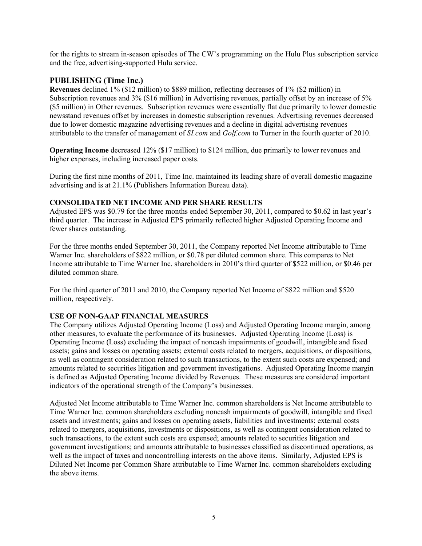for the rights to stream in-season episodes of The CW's programming on the Hulu Plus subscription service and the free, advertising-supported Hulu service.

# **PUBLISHING (Time Inc.)**

**Revenues** declined 1% (\$12 million) to \$889 million, reflecting decreases of 1% (\$2 million) in Subscription revenues and 3% (\$16 million) in Advertising revenues, partially offset by an increase of 5% (\$5 million) in Other revenues. Subscription revenues were essentially flat due primarily to lower domestic newsstand revenues offset by increases in domestic subscription revenues. Advertising revenues decreased due to lower domestic magazine advertising revenues and a decline in digital advertising revenues attributable to the transfer of management of *SI.com* and *Golf.com* to Turner in the fourth quarter of 2010.

**Operating Income** decreased 12% (\$17 million) to \$124 million, due primarily to lower revenues and higher expenses, including increased paper costs.

During the first nine months of 2011, Time Inc. maintained its leading share of overall domestic magazine advertising and is at 21.1% (Publishers Information Bureau data).

# **CONSOLIDATED NET INCOME AND PER SHARE RESULTS**

Adjusted EPS was \$0.79 for the three months ended September 30, 2011, compared to \$0.62 in last year's third quarter. The increase in Adjusted EPS primarily reflected higher Adjusted Operating Income and fewer shares outstanding.

For the three months ended September 30, 2011, the Company reported Net Income attributable to Time Warner Inc. shareholders of \$822 million, or \$0.78 per diluted common share. This compares to Net Income attributable to Time Warner Inc. shareholders in 2010's third quarter of \$522 million, or \$0.46 per diluted common share.

For the third quarter of 2011 and 2010, the Company reported Net Income of \$822 million and \$520 million, respectively.

# **USE OF NON-GAAP FINANCIAL MEASURES**

The Company utilizes Adjusted Operating Income (Loss) and Adjusted Operating Income margin, among other measures, to evaluate the performance of its businesses. Adjusted Operating Income (Loss) is Operating Income (Loss) excluding the impact of noncash impairments of goodwill, intangible and fixed assets; gains and losses on operating assets; external costs related to mergers, acquisitions, or dispositions, as well as contingent consideration related to such transactions, to the extent such costs are expensed; and amounts related to securities litigation and government investigations. Adjusted Operating Income margin is defined as Adjusted Operating Income divided by Revenues. These measures are considered important indicators of the operational strength of the Company's businesses.

Adjusted Net Income attributable to Time Warner Inc. common shareholders is Net Income attributable to Time Warner Inc. common shareholders excluding noncash impairments of goodwill, intangible and fixed assets and investments; gains and losses on operating assets, liabilities and investments; external costs related to mergers, acquisitions, investments or dispositions, as well as contingent consideration related to such transactions, to the extent such costs are expensed; amounts related to securities litigation and government investigations; and amounts attributable to businesses classified as discontinued operations, as well as the impact of taxes and noncontrolling interests on the above items. Similarly, Adjusted EPS is Diluted Net Income per Common Share attributable to Time Warner Inc. common shareholders excluding the above items.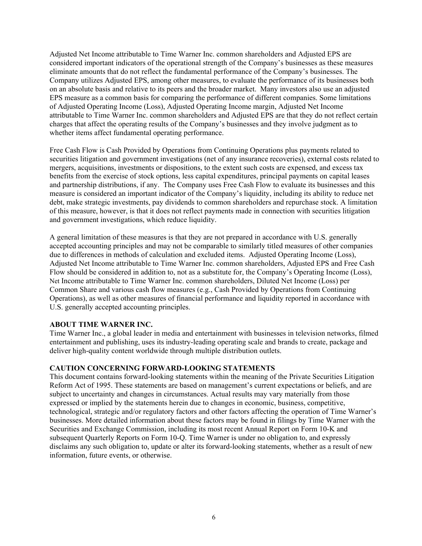Adjusted Net Income attributable to Time Warner Inc. common shareholders and Adjusted EPS are considered important indicators of the operational strength of the Company's businesses as these measures eliminate amounts that do not reflect the fundamental performance of the Company's businesses. The Company utilizes Adjusted EPS, among other measures, to evaluate the performance of its businesses both on an absolute basis and relative to its peers and the broader market. Many investors also use an adjusted EPS measure as a common basis for comparing the performance of different companies. Some limitations of Adjusted Operating Income (Loss), Adjusted Operating Income margin, Adjusted Net Income attributable to Time Warner Inc. common shareholders and Adjusted EPS are that they do not reflect certain charges that affect the operating results of the Company's businesses and they involve judgment as to whether items affect fundamental operating performance.

Free Cash Flow is Cash Provided by Operations from Continuing Operations plus payments related to securities litigation and government investigations (net of any insurance recoveries), external costs related to mergers, acquisitions, investments or dispositions, to the extent such costs are expensed, and excess tax benefits from the exercise of stock options, less capital expenditures, principal payments on capital leases and partnership distributions, if any. The Company uses Free Cash Flow to evaluate its businesses and this measure is considered an important indicator of the Company's liquidity, including its ability to reduce net debt, make strategic investments, pay dividends to common shareholders and repurchase stock. A limitation of this measure, however, is that it does not reflect payments made in connection with securities litigation and government investigations, which reduce liquidity.

A general limitation of these measures is that they are not prepared in accordance with U.S. generally accepted accounting principles and may not be comparable to similarly titled measures of other companies due to differences in methods of calculation and excluded items. Adjusted Operating Income (Loss), Adjusted Net Income attributable to Time Warner Inc. common shareholders, Adjusted EPS and Free Cash Flow should be considered in addition to, not as a substitute for, the Company's Operating Income (Loss), Net Income attributable to Time Warner Inc. common shareholders, Diluted Net Income (Loss) per Common Share and various cash flow measures (e.g., Cash Provided by Operations from Continuing Operations), as well as other measures of financial performance and liquidity reported in accordance with U.S. generally accepted accounting principles.

# **ABOUT TIME WARNER INC.**

Time Warner Inc., a global leader in media and entertainment with businesses in television networks, filmed entertainment and publishing, uses its industry-leading operating scale and brands to create, package and deliver high-quality content worldwide through multiple distribution outlets.

# **CAUTION CONCERNING FORWARD-LOOKING STATEMENTS**

This document contains forward-looking statements within the meaning of the Private Securities Litigation Reform Act of 1995. These statements are based on management's current expectations or beliefs, and are subject to uncertainty and changes in circumstances. Actual results may vary materially from those expressed or implied by the statements herein due to changes in economic, business, competitive, technological, strategic and/or regulatory factors and other factors affecting the operation of Time Warner's businesses. More detailed information about these factors may be found in filings by Time Warner with the Securities and Exchange Commission, including its most recent Annual Report on Form 10-K and subsequent Quarterly Reports on Form 10-Q. Time Warner is under no obligation to, and expressly disclaims any such obligation to, update or alter its forward-looking statements, whether as a result of new information, future events, or otherwise.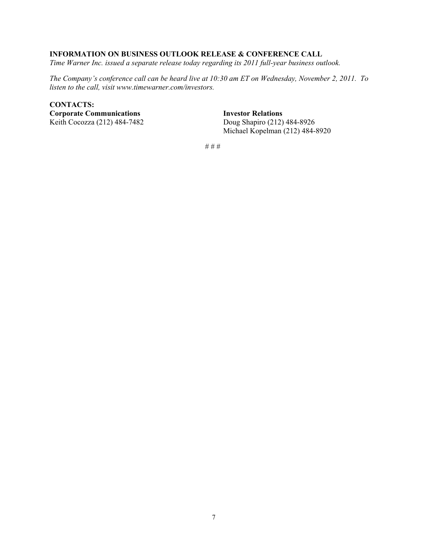# **INFORMATION ON BUSINESS OUTLOOK RELEASE & CONFERENCE CALL**

*Time Warner Inc. issued a separate release today regarding its 2011 full-year business outlook.*

*The Company's conference call can be heard live at 10:30 am ET on Wednesday, November 2, 2011. To listen to the call, visit www.timewarner.com/investors.* 

**CONTACTS: Corporate Communications**<br> **Investor Relations**<br> **Investor Relations**<br> **Doug Shapiro (212) 484-8926** Keith Cocozza (212) 484-7482

Michael Kopelman (212) 484-8920

# # #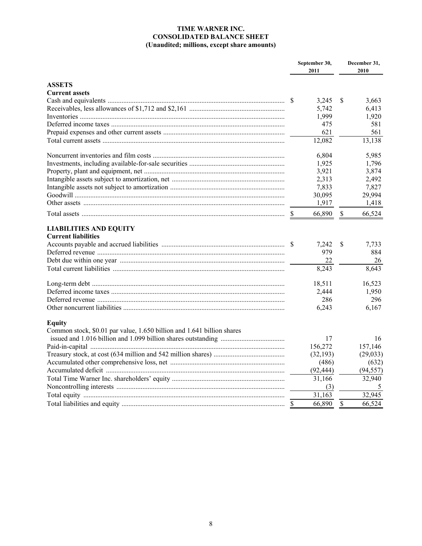# **TIME WARNER INC. CONSOLIDATED BALANCE SHEET (Unaudited; millions, except share amounts)**

|                                                                        |               | September 30,<br>2011 | December 31,<br>2010 |           |
|------------------------------------------------------------------------|---------------|-----------------------|----------------------|-----------|
| <b>ASSETS</b>                                                          |               |                       |                      |           |
| <b>Current assets</b>                                                  |               |                       |                      |           |
|                                                                        |               | 3,245                 | S.                   | 3,663     |
|                                                                        |               | 5,742                 |                      | 6,413     |
|                                                                        |               | 1,999                 |                      | 1,920     |
|                                                                        |               | 475                   |                      | 581       |
|                                                                        |               | 621                   |                      | 561       |
|                                                                        |               | 12,082                |                      | 13,138    |
|                                                                        |               | 6,804                 |                      | 5,985     |
|                                                                        |               | 1,925                 |                      | 1.796     |
|                                                                        |               | 3,921                 |                      | 3,874     |
|                                                                        |               | 2,313                 |                      | 2,492     |
|                                                                        |               | 7,833                 |                      | 7,827     |
|                                                                        |               | 30,095                |                      | 29,994    |
|                                                                        |               | 1,917                 |                      | 1,418     |
|                                                                        |               | 66,890                | \$                   | 66,524    |
| <b>LIABILITIES AND EQUITY</b>                                          |               |                       |                      |           |
| <b>Current liabilities</b>                                             | -S            | 7.242                 | \$                   | 7.733     |
|                                                                        |               | 979                   |                      | 884       |
|                                                                        |               | 22                    |                      | 26        |
|                                                                        |               | 8,243                 |                      | 8,643     |
|                                                                        |               |                       |                      |           |
|                                                                        |               | 18,511                |                      | 16,523    |
|                                                                        |               | 2,444                 |                      | 1,950     |
|                                                                        |               | 286                   |                      | 296       |
|                                                                        |               | 6,243                 |                      | 6,167     |
| <b>Equity</b>                                                          |               |                       |                      |           |
| Common stock, \$0.01 par value, 1.650 billion and 1.641 billion shares |               | 17                    |                      | 16        |
|                                                                        |               | 156,272               |                      | 157,146   |
|                                                                        |               | (32, 193)             |                      | (29, 033) |
|                                                                        |               | (486)                 |                      | (632)     |
|                                                                        |               | (92, 444)             |                      | (94, 557) |
|                                                                        |               | 31,166                |                      | 32,940    |
|                                                                        |               | (3)                   |                      | 5         |
|                                                                        |               | 31,163                |                      | 32,945    |
|                                                                        | <sup>\$</sup> | 66,890                | $\mathbf S$          | 66,524    |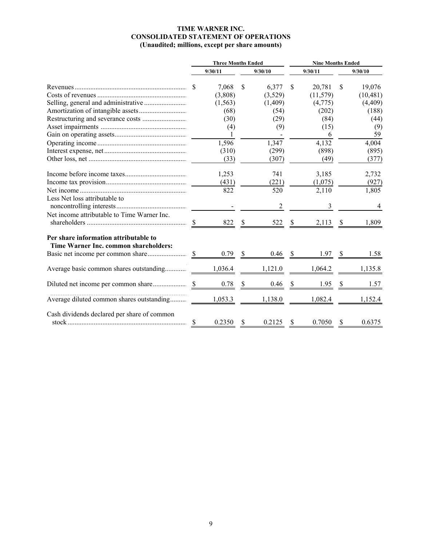## **TIME WARNER INC. CONSOLIDATED STATEMENT OF OPERATIONS (Unaudited; millions, except per share amounts)**

|                                             | <b>Three Months Ended</b> |              |    |         |    |           | <b>Nine Months Ended</b> |           |  |  |  |
|---------------------------------------------|---------------------------|--------------|----|---------|----|-----------|--------------------------|-----------|--|--|--|
|                                             |                           | 9/30/11      |    | 9/30/10 |    | 9/30/11   |                          | 9/30/10   |  |  |  |
|                                             |                           | 7,068        | S  | 6,377   | S  | 20,781    | S                        | 19,076    |  |  |  |
|                                             |                           | (3,808)      |    | (3,529) |    | (11, 579) |                          | (10, 481) |  |  |  |
|                                             |                           | (1, 563)     |    | (1,409) |    | (4,775)   |                          | (4,409)   |  |  |  |
|                                             |                           | (68)         |    | (54)    |    | (202)     |                          | (188)     |  |  |  |
|                                             |                           | (30)         |    | (29)    |    | (84)      |                          | (44)      |  |  |  |
|                                             |                           | (4)          |    | (9)     |    | (15)      |                          | (9)       |  |  |  |
|                                             |                           | $\mathbf{1}$ |    |         |    | 6         |                          | 59        |  |  |  |
|                                             |                           | 1,596        |    | 1,347   |    | 4,132     |                          | 4,004     |  |  |  |
|                                             |                           | (310)        |    | (299)   |    | (898)     |                          | (895)     |  |  |  |
|                                             |                           | (33)         |    | (307)   |    | (49)      |                          | (377)     |  |  |  |
|                                             |                           | 1,253        |    | 741     |    | 3,185     |                          | 2,732     |  |  |  |
|                                             |                           | (431)        |    | (221)   |    | (1,075)   |                          | (927)     |  |  |  |
|                                             |                           | 822          |    | 520     |    | 2,110     |                          | 1,805     |  |  |  |
| Less Net loss attributable to               |                           |              |    |         |    |           |                          |           |  |  |  |
|                                             |                           |              |    |         |    | 3         |                          |           |  |  |  |
| Net income attributable to Time Warner Inc. |                           |              |    |         |    |           |                          |           |  |  |  |
|                                             | \$                        | 822          |    | 522     |    | 2,113     |                          | 1,809     |  |  |  |
| Per share information attributable to       |                           |              |    |         |    |           |                          |           |  |  |  |
| Time Warner Inc. common shareholders:       |                           |              |    |         |    |           |                          |           |  |  |  |
|                                             | <sup>\$</sup>             | 0.79         | \$ | 0.46    | -S | 1.97      | <sup>8</sup>             | 1.58      |  |  |  |
| Average basic common shares outstanding     |                           | 1,036.4      |    | 1,121.0 |    | 1,064.2   |                          | 1,135.8   |  |  |  |
|                                             | \$                        | 0.78         | \$ | 0.46    | -S | 1.95      | S                        | 1.57      |  |  |  |
|                                             |                           |              |    |         |    |           |                          |           |  |  |  |
| Average diluted common shares outstanding   |                           | 1,053.3      |    | 1,138.0 |    | 1,082.4   |                          | 1,152.4   |  |  |  |
| Cash dividends declared per share of common |                           |              |    |         |    |           |                          |           |  |  |  |
|                                             | S.                        | 0.2350       | S  | 0.2125  |    | 0.7050    | S                        | 0.6375    |  |  |  |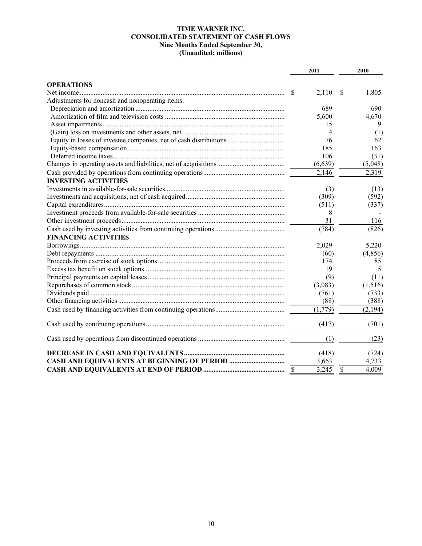## **TIME WARNER INC. CONSOLIDATED STATEMENT OF CASH FLOWS Nine Months Ended September 30, (Unaudited; millions)**

|                                                                   |              | 2011     |               | 2010    |
|-------------------------------------------------------------------|--------------|----------|---------------|---------|
| <b>OPERATIONS</b>                                                 |              |          |               |         |
|                                                                   | <sup>8</sup> | 2,110    | \$            | 1,805   |
| Adjustments for noncash and nonoperating items:                   |              |          |               |         |
|                                                                   |              | 689      |               | 690     |
|                                                                   |              | 5,600    |               | 4,670   |
|                                                                   |              | 15       |               | 9       |
|                                                                   |              | 4        |               | (1)     |
| Equity in losses of investee companies, net of cash distributions |              | 76       |               | 62      |
|                                                                   |              | 185      |               | 163     |
|                                                                   |              | 106      |               | (31)    |
|                                                                   |              | (6, 639) |               | (5,048) |
|                                                                   |              | 2,146    |               | 2,319   |
| <b>INVESTING ACTIVITIES</b>                                       |              |          |               |         |
|                                                                   |              | (3)      |               | (13)    |
|                                                                   |              | (309)    |               | (592)   |
|                                                                   |              | (511)    |               | (337)   |
|                                                                   |              | 8        |               |         |
|                                                                   |              | 31       |               | 116     |
|                                                                   |              | (784)    |               | (826)   |
| <b>FINANCING ACTIVITIES</b>                                       |              |          |               |         |
|                                                                   |              | 2,029    |               | 5,220   |
|                                                                   |              | (60)     |               | (4,856) |
|                                                                   |              | 174      |               | 85      |
|                                                                   |              | 19       |               | 5       |
|                                                                   |              | (9)      |               | (11)    |
|                                                                   |              | (3,083)  |               | (1,516) |
|                                                                   |              | (761)    |               | (733)   |
|                                                                   |              | (88)     |               | (388)   |
|                                                                   |              | (1,779)  |               | (2,194) |
|                                                                   |              | (417)    |               | (701)   |
|                                                                   |              | (1)      |               | (23)    |
|                                                                   |              | (418)    |               | (724)   |
|                                                                   |              | 3,663    |               | 4,733   |
|                                                                   |              | 3,245    | $\mathsf{\$}$ | 4,009   |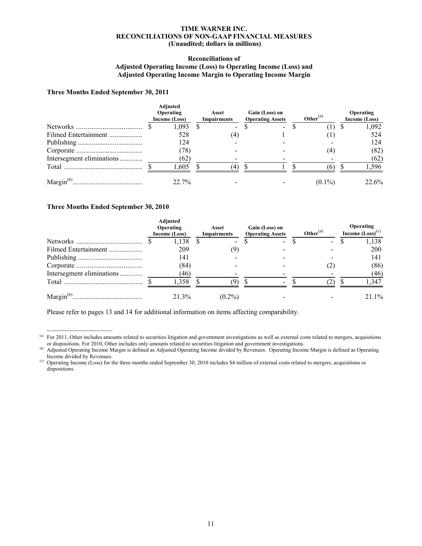#### **TIME WARNER INC. RECONCILIATIONS OF NON-GAAP FINANCIAL MEASURES (Unaudited; dollars in millions)**

#### **Reconciliations of**

## **Adjusted Operating Income (Loss) to Operating Income (Loss) and Adjusted Operating Income Margin to Operating Income Margin**

#### **Three Months Ended September 30, 2011**

|                           | <b>Adjusted</b><br>Operating<br>Income (Loss) |          | Asset<br><b>Impairments</b> | Gain (Loss) on<br><b>Operating Assets</b> | Other <sup>(a)</sup> | Operating<br>Income (Loss) |
|---------------------------|-----------------------------------------------|----------|-----------------------------|-------------------------------------------|----------------------|----------------------------|
|                           |                                               | 1,093    |                             | $\blacksquare$                            |                      | 1,092                      |
|                           |                                               | 528      | (4)                         |                                           |                      | 524                        |
|                           |                                               | 124      |                             |                                           |                      | 124                        |
|                           |                                               | (78)     |                             |                                           | (4)                  | (82)                       |
| Intersegment eliminations |                                               | (62)     |                             |                                           |                      | (62)                       |
|                           |                                               | 1,605    | (4)                         |                                           | $\lceil 6 \rceil$    | 1,596                      |
|                           |                                               | $22.7\%$ |                             |                                           | $(0.1\%)$            | 22.6%                      |

#### **Three Months Ended September 30, 2010**

 $\mathcal{L}_\text{max}$ 

|                           | <b>Adjusted</b><br>Operating<br>Income (Loss) |      | Asset<br><b>Impairments</b> | Gain (Loss) on<br><b>Operating Assets</b> | Other $(a)$    | Operating<br>Income $(Loss)^{(c)}$ |
|---------------------------|-----------------------------------------------|------|-----------------------------|-------------------------------------------|----------------|------------------------------------|
|                           | 1,138                                         |      |                             | $\overline{\phantom{0}}$                  | $\overline{a}$ | 1,138                              |
| Filmed Entertainment      | 209                                           |      | (9)                         |                                           |                | 200                                |
|                           | 141                                           |      |                             |                                           |                | 141                                |
|                           |                                               | (84) |                             |                                           |                | (86)                               |
| Intersegment eliminations |                                               | (46) |                             |                                           |                | (46)                               |
|                           | 1,358                                         |      | (Q)                         |                                           |                | 1,347                              |
|                           | 21.3%                                         |      | $(0.2\%)$                   |                                           |                | 21.1%                              |

Please refer to pages 13 and 14 for additional information on items affecting comparability.

<sup>(</sup>a) For 2011, Other includes amounts related to securities litigation and government investigations as well as external costs related to mergers, acquisitions or dispositions. For 2010, Other includes only amounts related to securities litigation and government investigations.

<sup>(</sup>b) Adjusted Operating Income Margin is defined as Adjusted Operating Income divided by Revenues. Operating Income Margin is defined as Operating Income divided by Revenues.

<sup>&</sup>lt;sup>(c)</sup> Operating Income (Loss) for the three months ended September 30, 2010 includes \$4 million of external costs related to mergers, acquisitions or dispositions.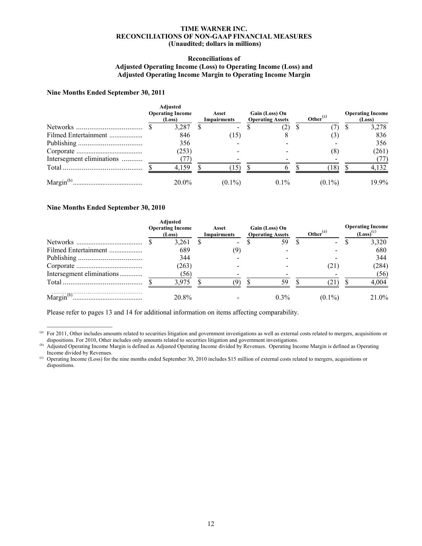#### **TIME WARNER INC. RECONCILIATIONS OF NON-GAAP FINANCIAL MEASURES (Unaudited; dollars in millions)**

#### **Reconciliations of Adjusted Operating Income (Loss) to Operating Income (Loss) and**

# **Adjusted Operating Income Margin to Operating Income Margin**

#### **Nine Months Ended September 30, 2011**

|                           | <b>Adjusted</b><br><b>Operating Income</b><br>(Loss) | Asset<br><b>Impairments</b> | Gain (Loss) On<br><b>Operating Assets</b> | Other $(a)$ | <b>Operating Income</b><br>(Loss) |
|---------------------------|------------------------------------------------------|-----------------------------|-------------------------------------------|-------------|-----------------------------------|
|                           | 3,287                                                | $\sim$                      | $\left( 2\right)$                         |             | 3,278                             |
|                           | 846                                                  | (15)                        |                                           |             | 836                               |
|                           | 356                                                  |                             |                                           |             | 356                               |
|                           | (253)                                                |                             |                                           | (8)         | (261)                             |
| Intersegment eliminations | 77)                                                  |                             |                                           |             | (77)                              |
|                           | 4.159                                                | 15)                         |                                           | 18)         | 4.132                             |
|                           | $20.0\%$                                             | $(0.1\%)$                   | $0.1\%$                                   | $(0.1\%)$   | 19.9%                             |

#### **Nine Months Ended September 30, 2010**

 $\frac{1}{2}$  ,  $\frac{1}{2}$  ,  $\frac{1}{2}$  ,  $\frac{1}{2}$  ,  $\frac{1}{2}$  ,  $\frac{1}{2}$  ,  $\frac{1}{2}$  ,  $\frac{1}{2}$  ,  $\frac{1}{2}$  ,  $\frac{1}{2}$  ,  $\frac{1}{2}$  ,  $\frac{1}{2}$  ,  $\frac{1}{2}$  ,  $\frac{1}{2}$  ,  $\frac{1}{2}$  ,  $\frac{1}{2}$  ,  $\frac{1}{2}$  ,  $\frac{1}{2}$  ,  $\frac{1$ 

|                           | <b>Adjusted</b><br><b>Operating Income</b><br>(Loss) | Asset<br><b>Impairments</b> | Gain (Loss) On<br><b>Operating Assets</b> | Other <sup>(a)</sup>     | <b>Operating Income</b><br>$(Loss)^{(c)}$ |
|---------------------------|------------------------------------------------------|-----------------------------|-------------------------------------------|--------------------------|-------------------------------------------|
|                           | 3,261                                                |                             | 59                                        | $\overline{\phantom{0}}$ | 3,320                                     |
|                           | 689                                                  | (9)                         |                                           |                          | 680                                       |
|                           | 344                                                  |                             |                                           |                          | 344                                       |
|                           | (263)                                                |                             |                                           | (21)                     | (284)                                     |
| Intersegment eliminations | (56)                                                 |                             |                                           |                          | (56)                                      |
|                           | 3.975                                                | ۵۱)                         | 59                                        | 21                       | 4,004                                     |
| Margin $^{(b)}$ .         | 20.8%                                                |                             | $0.3\%$                                   | $(0.1\%)$                | 21.0%                                     |

Please refer to pages 13 and 14 for additional information on items affecting comparability.

 $(a)$  For 2011, Other includes amounts related to securities litigation and government investigations as well as external costs related to mergers, acquisitions or dispositions. For 2010, Other includes only amounts related to securities litigation and government investigations.

<sup>(</sup>b) Adjusted Operating Income Margin is defined as Adjusted Operating Income divided by Revenues. Operating Income Margin is defined as Operating Income divided by Revenues.

<sup>(</sup>c) Operating Income (Loss) for the nine months ended September 30, 2010 includes \$15 million of external costs related to mergers, acquisitions or dispositions.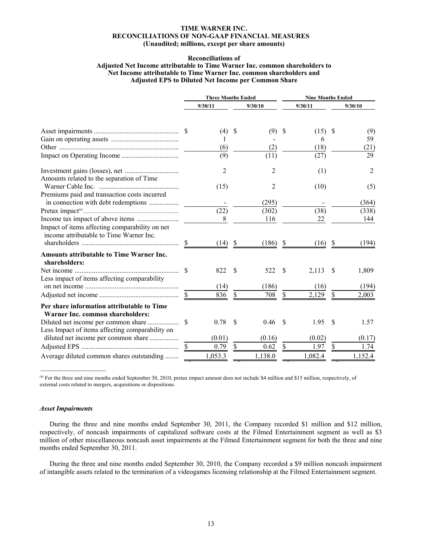#### **TIME WARNER INC. RECONCILIATIONS OF NON-GAAP FINANCIAL MEASURES (Unaudited; millions, except per share amounts)**

#### **Reconciliations of**

#### **Adjusted Net Income attributable to Time Warner Inc. common shareholders to Net Income attributable to Time Warner Inc. common shareholders and Adjusted EPS to Diluted Net Income per Common Share**

|                                                                                           |               | <b>Three Months Ended</b> |               |            |             | <b>Nine Months Ended</b> |               | 9/30/10<br>(9)<br>59<br>(21)<br>29<br>2<br>(5)<br>(364)<br>(338)<br>144<br>(194)<br>1,809 |  |  |  |
|-------------------------------------------------------------------------------------------|---------------|---------------------------|---------------|------------|-------------|--------------------------|---------------|-------------------------------------------------------------------------------------------|--|--|--|
|                                                                                           |               | 9/30/11                   |               | 9/30/10    |             | 9/30/11                  |               |                                                                                           |  |  |  |
|                                                                                           |               | (4)                       | S             | (9)        | S           | (15)                     | -S            |                                                                                           |  |  |  |
|                                                                                           |               | 1                         |               |            |             | 6                        |               |                                                                                           |  |  |  |
|                                                                                           |               | (6)                       |               | (2)        |             | (18)                     |               |                                                                                           |  |  |  |
|                                                                                           |               | (9)                       |               | (11)       |             | (27)                     |               |                                                                                           |  |  |  |
|                                                                                           |               | 2                         |               | 2          |             | (1)                      |               |                                                                                           |  |  |  |
| Amounts related to the separation of Time                                                 |               | (15)                      |               | 2          |             | (10)                     |               |                                                                                           |  |  |  |
| Premiums paid and transaction costs incurred                                              |               |                           |               | (295)      |             |                          |               |                                                                                           |  |  |  |
|                                                                                           |               | (22)                      |               | (302)      |             | (38)                     |               |                                                                                           |  |  |  |
|                                                                                           |               | 8                         |               | 116        |             | 22                       |               |                                                                                           |  |  |  |
| Impact of items affecting comparability on net<br>income attributable to Time Warner Inc. |               |                           |               |            |             |                          |               |                                                                                           |  |  |  |
|                                                                                           |               | (14)                      | <sup>\$</sup> | $(186)$ \$ |             | (16)                     | -S            |                                                                                           |  |  |  |
| <b>Amounts attributable to Time Warner Inc.</b><br>shareholders:                          |               |                           |               |            |             |                          |               |                                                                                           |  |  |  |
|                                                                                           | S             | 822                       | <b>S</b>      | 522        | -S          | 2,113                    | S             |                                                                                           |  |  |  |
| Less impact of items affecting comparability                                              |               |                           |               |            |             |                          |               |                                                                                           |  |  |  |
|                                                                                           |               | (14)                      |               | (186)      |             | (16)                     |               | (194)                                                                                     |  |  |  |
|                                                                                           | <sup>\$</sup> | 836                       | \$            | 708        | $\mathbf S$ | 2,129                    | \$            | 2,003                                                                                     |  |  |  |
| Per share information attributable to Time<br>Warner Inc. common shareholders:            |               |                           |               |            |             |                          |               |                                                                                           |  |  |  |
| Less Impact of items affecting comparability on                                           | -S            | 0.78                      | <sup>\$</sup> | 0.46       | -8          | 1.95                     | <sup>\$</sup> | 1.57                                                                                      |  |  |  |
| diluted net income per common share                                                       |               | (0.01)                    |               | (0.16)     |             | (0.02)                   |               | (0.17)                                                                                    |  |  |  |
|                                                                                           |               | 0.79                      | $\mathbf S$   | 0.62       | \$          | 1.97                     | \$            | 1.74                                                                                      |  |  |  |
| Average diluted common shares outstanding                                                 |               | 1,053.3                   |               | 1,138.0    |             | 1,082.4                  |               | 1,152.4                                                                                   |  |  |  |
|                                                                                           |               |                           |               |            |             |                          |               |                                                                                           |  |  |  |

<sup>(a)</sup> For the three and nine months ended September 30, 2010, pretax impact amount does not include \$4 million and \$15 million, respectively, of external costs related to mergers, acquisitions or dispositions.

#### *Asset Impairments*

 $\mathcal{L}=\mathcal{L}=\mathcal{L}=\mathcal{L}=\mathcal{L}=\mathcal{L}=\mathcal{L}=\mathcal{L}=\mathcal{L}=\mathcal{L}=\mathcal{L}=\mathcal{L}=\mathcal{L}=\mathcal{L}=\mathcal{L}=\mathcal{L}=\mathcal{L}=\mathcal{L}=\mathcal{L}=\mathcal{L}=\mathcal{L}=\mathcal{L}=\mathcal{L}=\mathcal{L}=\mathcal{L}=\mathcal{L}=\mathcal{L}=\mathcal{L}=\mathcal{L}=\mathcal{L}=\mathcal{L}=\mathcal{L}=\mathcal{L}=\mathcal{L}=\mathcal{L}=\mathcal{L}=\mathcal{$ 

During the three and nine months ended September 30, 2011, the Company recorded \$1 million and \$12 million, respectively, of noncash impairments of capitalized software costs at the Filmed Entertainment segment as well as \$3 million of other miscellaneous noncash asset impairments at the Filmed Entertainment segment for both the three and nine months ended September 30, 2011.

During the three and nine months ended September 30, 2010, the Company recorded a \$9 million noncash impairment of intangible assets related to the termination of a videogames licensing relationship at the Filmed Entertainment segment.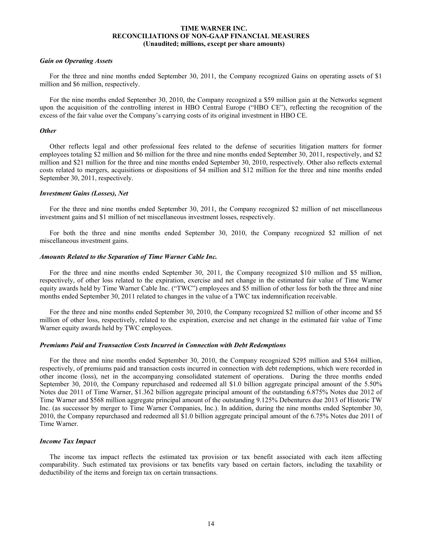#### **TIME WARNER INC. RECONCILIATIONS OF NON-GAAP FINANCIAL MEASURES (Unaudited; millions, except per share amounts)**

## *Gain on Operating Assets*

For the three and nine months ended September 30, 2011, the Company recognized Gains on operating assets of \$1 million and \$6 million, respectively.

For the nine months ended September 30, 2010, the Company recognized a \$59 million gain at the Networks segment upon the acquisition of the controlling interest in HBO Central Europe ("HBO CE"), reflecting the recognition of the excess of the fair value over the Company's carrying costs of its original investment in HBO CE.

#### *Other*

Other reflects legal and other professional fees related to the defense of securities litigation matters for former employees totaling \$2 million and \$6 million for the three and nine months ended September 30, 2011, respectively, and \$2 million and \$21 million for the three and nine months ended September 30, 2010, respectively. Other also reflects external costs related to mergers, acquisitions or dispositions of \$4 million and \$12 million for the three and nine months ended September 30, 2011, respectively.

#### *Investment Gains (Losses), Net*

For the three and nine months ended September 30, 2011, the Company recognized \$2 million of net miscellaneous investment gains and \$1 million of net miscellaneous investment losses, respectively.

For both the three and nine months ended September 30, 2010, the Company recognized \$2 million of net miscellaneous investment gains.

#### *Amounts Related to the Separation of Time Warner Cable Inc.*

For the three and nine months ended September 30, 2011, the Company recognized \$10 million and \$5 million, respectively, of other loss related to the expiration, exercise and net change in the estimated fair value of Time Warner equity awards held by Time Warner Cable Inc. ("TWC") employees and \$5 million of other loss for both the three and nine months ended September 30, 2011 related to changes in the value of a TWC tax indemnification receivable.

For the three and nine months ended September 30, 2010, the Company recognized \$2 million of other income and \$5 million of other loss, respectively, related to the expiration, exercise and net change in the estimated fair value of Time Warner equity awards held by TWC employees.

#### *Premiums Paid and Transaction Costs Incurred in Connection with Debt Redemptions*

For the three and nine months ended September 30, 2010, the Company recognized \$295 million and \$364 million, respectively, of premiums paid and transaction costs incurred in connection with debt redemptions, which were recorded in other income (loss), net in the accompanying consolidated statement of operations. During the three months ended September 30, 2010, the Company repurchased and redeemed all \$1.0 billion aggregate principal amount of the 5.50% Notes due 2011 of Time Warner, \$1.362 billion aggregate principal amount of the outstanding 6.875% Notes due 2012 of Time Warner and \$568 million aggregate principal amount of the outstanding 9.125% Debentures due 2013 of Historic TW Inc. (as successor by merger to Time Warner Companies, Inc.). In addition, during the nine months ended September 30, 2010, the Company repurchased and redeemed all \$1.0 billion aggregate principal amount of the 6.75% Notes due 2011 of Time Warner.

#### *Income Tax Impact*

The income tax impact reflects the estimated tax provision or tax benefit associated with each item affecting comparability. Such estimated tax provisions or tax benefits vary based on certain factors, including the taxability or deductibility of the items and foreign tax on certain transactions.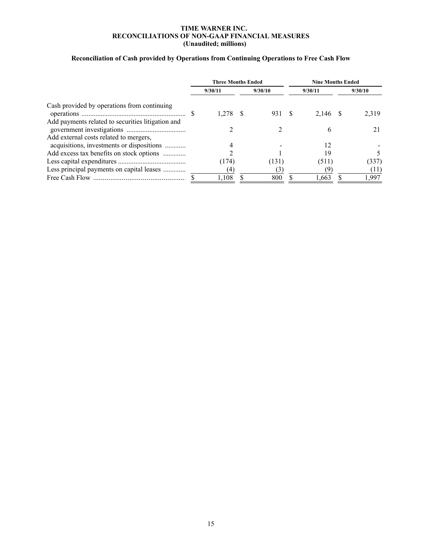## **TIME WARNER INC. RECONCILIATIONS OF NON-GAAP FINANCIAL MEASURES (Unaudited; millions)**

# **Reconciliation of Cash provided by Operations from Continuing Operations to Free Cash Flow**

|                                                                                             | <b>Three Months Ended</b> |         |  |         |  | <b>Nine Months Ended</b> |  |         |  |  |
|---------------------------------------------------------------------------------------------|---------------------------|---------|--|---------|--|--------------------------|--|---------|--|--|
|                                                                                             |                           | 9/30/11 |  | 9/30/10 |  | 9/30/11                  |  | 9/30/10 |  |  |
| Cash provided by operations from continuing                                                 |                           | 1.278   |  | 931     |  | 2.146                    |  | 2.319   |  |  |
| Add payments related to securities litigation and<br>Add external costs related to mergers, |                           |         |  |         |  | h                        |  |         |  |  |
| acquisitions, investments or dispositions                                                   |                           |         |  |         |  |                          |  |         |  |  |
| Add excess tax benefits on stock options                                                    |                           |         |  |         |  | 19                       |  |         |  |  |
|                                                                                             |                           | (174)   |  | (131)   |  | (511)                    |  | (337)   |  |  |
| Less principal payments on capital leases                                                   |                           | (4)     |  | (3)     |  | (9                       |  | (11)    |  |  |
|                                                                                             |                           | 1.108   |  | 800     |  | .663                     |  | 1.997   |  |  |